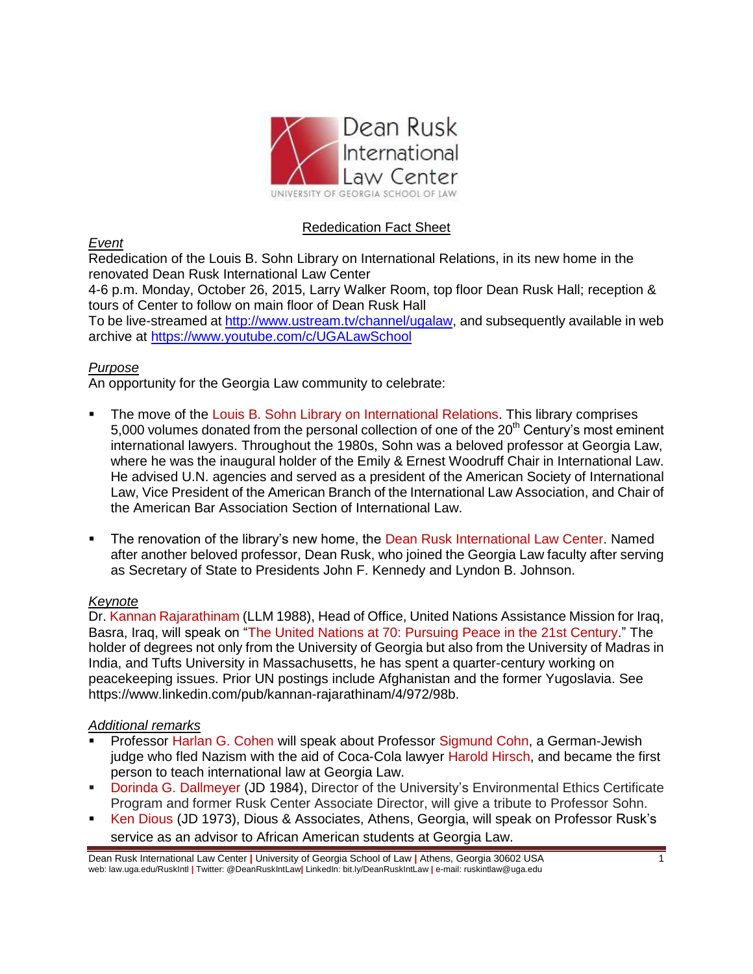

# Rededication Fact Sheet

*Event*

Rededication of the Louis B. Sohn Library on International Relations, in its new home in the renovated Dean Rusk International Law Center

4-6 p.m. Monday, October 26, 2015, Larry Walker Room, top floor Dean Rusk Hall; reception & tours of Center to follow on main floor of Dean Rusk Hall

To be live-streamed at http://www.ustream.tv/channel/ugalaw, and subsequently available in web archive at<https://www.youtube.com/c/UGALawSchool>

### *Purpose*

An opportunity for the Georgia Law community to celebrate:

- The move of the Louis B. Sohn Library on International Relations. This library comprises 5,000 volumes donated from the personal collection of one of the  $20<sup>th</sup>$  Century's most eminent international lawyers. Throughout the 1980s, Sohn was a beloved professor at Georgia Law, where he was the inaugural holder of the Emily & Ernest Woodruff Chair in International Law. He advised U.N. agencies and served as a president of the American Society of International Law, Vice President of the American Branch of the International Law Association, and Chair of the American Bar Association Section of International Law.
- The renovation of the library's new home, the Dean Rusk International Law Center. Named after another beloved professor, Dean Rusk, who joined the Georgia Law faculty after serving as Secretary of State to Presidents John F. Kennedy and Lyndon B. Johnson.

### *Keynote*

Dr. Kannan Rajarathinam (LLM 1988), Head of Office, United Nations Assistance Mission for Iraq, Basra, Iraq, will speak on "The United Nations at 70: Pursuing Peace in the 21st Century." The holder of degrees not only from the University of Georgia but also from the University of Madras in India, and Tufts University in Massachusetts, he has spent a quarter-century working on peacekeeping issues. Prior UN postings include Afghanistan and the former Yugoslavia. See [https://www.linkedin.com/pub/kannan-rajarathinam/4/972/98b.](https://www.linkedin.com/pub/kannan-rajarathinam/4/972/98b)

#### *Additional remarks*

- Professor Harlan G. Cohen will speak about Professor Sigmund Cohn, a German-Jewish judge who fled Nazism with the aid of Coca-Cola lawyer Harold Hirsch, and became the first person to teach international law at Georgia Law.
- Dorinda G. Dallmeyer (JD 1984), Director of the University's Environmental Ethics Certificate Program and former Rusk Center Associate Director, will give a tribute to Professor Sohn.
- Ken Dious (JD 1973), Dious & Associates, Athens, Georgia, will speak on Professor Rusk's service as an advisor to African American students at Georgia Law.

Dean Rusk International Law Center **|** University of Georgia School of Law **|** Athens, Georgia 30602 USA 1 web: law.uga.edu/RuskIntl **|** Twitter: @DeanRuskIntLaw**|** LinkedIn: bit.ly/DeanRuskIntLaw **|** e-mail: ruskintlaw@uga.edu